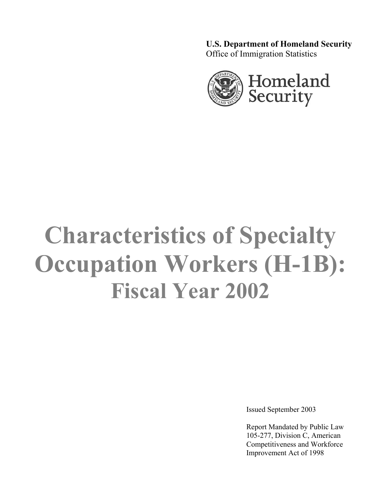**U.S. Department of Homeland Security**  Office of Immigration Statistics



# **Characteristics of Specialty Occupation Workers (H-1B): Fiscal Year 2002**

Issued September 2003

Report Mandated by Public Law 105-277, Division C, American Competitiveness and Workforce Improvement Act of 1998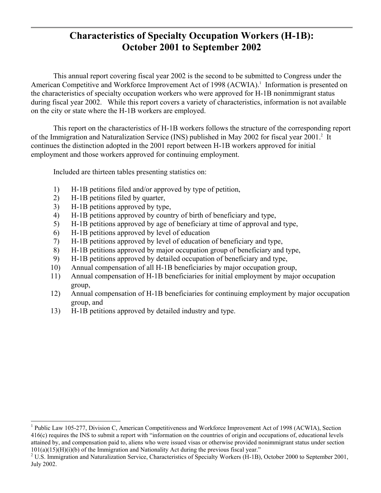# **Characteristics of Specialty Occupation Workers (H-1B): October 2001 to September 2002**

This annual report covering fiscal year 2002 is the second to be submitted to Congress under the American Competitive and Workforce Improvement Act of 1998 (ACWIA).<sup>1</sup> Information is presented on the characteristics of specialty occupation workers who were approved for H-1B nonimmigrant status during fiscal year 2002. While this report covers a variety of characteristics, information is not available on the city or state where the H-1B workers are employed.

This report on the characteristics of H-1B workers follows the structure of the corresponding report of the Immigration and Naturalization Service (INS) published in May 2002 for fiscal year 2001.<sup>2</sup> It continues the distinction adopted in the 2001 report between H-1B workers approved for initial employment and those workers approved for continuing employment.

Included are thirteen tables presenting statistics on:

- 1) H-1B petitions filed and/or approved by type of petition,
- 2) H-1B petitions filed by quarter,

l

- 3) H-1B petitions approved by type,
- 4) H-1B petitions approved by country of birth of beneficiary and type,
- 5) H-1B petitions approved by age of beneficiary at time of approval and type,
- 6) H-1B petitions approved by level of education
- 7) H-1B petitions approved by level of education of beneficiary and type,
- 8) H-1B petitions approved by major occupation group of beneficiary and type,
- 9) H-1B petitions approved by detailed occupation of beneficiary and type,
- 10) Annual compensation of all H-1B beneficiaries by major occupation group,
- 11) Annual compensation of H-1B beneficiaries for initial employment by major occupation group,
- 12) Annual compensation of H-1B beneficiaries for continuing employment by major occupation group, and
- 13) H-1B petitions approved by detailed industry and type.

<sup>&</sup>lt;sup>1</sup> Public Law 105-277, Division C, American Competitiveness and Workforce Improvement Act of 1998 (ACWIA), Section 416(c) requires the INS to submit a report with "information on the countries of origin and occupations of, educational levels attained by, and compensation paid to, aliens who were issued visas or otherwise provided nonimmigrant status under section  $101(a)(15)(H)(i)$  of the Immigration and Nationality Act during the previous fiscal year."

<sup>&</sup>lt;sup>2</sup> U.S. Immigration and Naturalization Service, Characteristics of Specialty Workers (H-1B), October 2000 to September 2001, July 2002.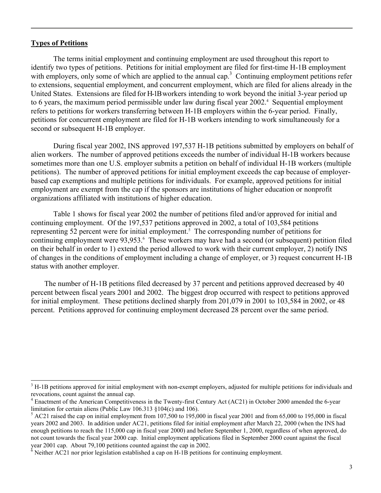#### **Types of Petitions**

l

The terms initial employment and continuing employment are used throughout this report to identify two types of petitions. Petitions for initial employment are filed for first-time H-1B employment with employers, only some of which are applied to the annual cap.<sup>3</sup> Continuing employment petitions refer to extensions, sequential employment, and concurrent employment, which are filed for aliens already in the United States. Extensions are filed for H-1B workers intending to work beyond the initial 3-year period up to 6 years, the maximum period permissible under law during fiscal year 2002.<sup>4</sup> Sequential employment refers to petitions for workers transferring between H-1B employers within the 6-year period. Finally, petitions for concurrent employment are filed for H-1B workers intending to work simultaneously for a second or subsequent H-1B employer.

During fiscal year 2002, INS approved 197,537 H-1B petitions submitted by employers on behalf of alien workers. The number of approved petitions exceeds the number of individual H-1B workers because sometimes more than one U.S. employer submits a petition on behalf of individual H-1B workers (multiple petitions). The number of approved petitions for initial employment exceeds the cap because of employerbased cap exemptions and multiple petitions for individuals. For example, approved petitions for initial employment are exempt from the cap if the sponsors are institutions of higher education or nonprofit organizations affiliated with institutions of higher education.

Table 1 shows for fiscal year 2002 the number of petitions filed and/or approved for initial and continuing employment. Of the 197,537 petitions approved in 2002, a total of 103,584 petitions representing 52 percent were for initial employment.<sup>5</sup> The corresponding number of petitions for continuing employment were 93,953.<sup>6</sup> These workers may have had a second (or subsequent) petition filed on their behalf in order to 1) extend the period allowed to work with their current employer, 2) notify INS of changes in the conditions of employment including a change of employer, or 3) request concurrent H-1B status with another employer.

 The number of H-1B petitions filed decreased by 37 percent and petitions approved decreased by 40 percent between fiscal years 2001 and 2002. The biggest drop occurred with respect to petitions approved for initial employment. These petitions declined sharply from 201,079 in 2001 to 103,584 in 2002, or 48 percent. Petitions approved for continuing employment decreased 28 percent over the same period.

 $3$  H-1B petitions approved for initial employment with non-exempt employers, adjusted for multiple petitions for individuals and revocations, count against the annual cap.

<sup>&</sup>lt;sup>4</sup> Enactment of the American Competitiveness in the Twenty-first Century Act (AC21) in October 2000 amended the 6-year limitation for certain aliens (Public Law 106.313 §104(c) and 106).

 $<sup>5</sup>$  AC21 raised the cap on initial employment from 107,500 to 195,000 in fiscal year 2001 and from 65,000 to 195,000 in fiscal</sup> years 2002 and 2003. In addition under AC21, petitions filed for initial employment after March 22, 2000 (when the INS had enough petitions to reach the 115,000 cap in fiscal year 2000) and before September 1, 2000, regardless of when approved, do not count towards the fiscal year 2000 cap. Initial employment applications filed in September 2000 count against the fiscal year 2001 cap. About 79,100 petitions counted against the cap in 2002.

 $\frac{1}{6}$  Neither AC21 nor prior legislation established a cap on H-1B petitions for continuing employment.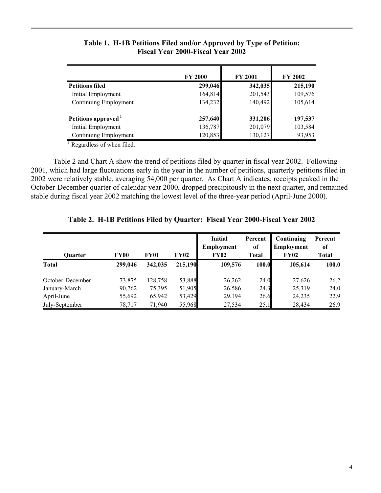|                                 | <b>FY 2000</b> | <b>FY 2001</b> | <b>FY 2002</b> |
|---------------------------------|----------------|----------------|----------------|
| <b>Petitions filed</b>          | 299,046        | 342,035        | 215,190        |
| Initial Employment              | 164,814        | 201,543        | 109,576        |
| Continuing Employment           | 134,232        | 140,492        | 105,614        |
| Petitions approved <sup>1</sup> | 257,640        | 331,206        | 197,537        |
| Initial Employment              | 136,787        | 201,079        | 103,584        |
| Continuing Employment           | 120,853        | 130,127        | 93,953         |

## **Table 1. H-1B Petitions Filed and/or Approved by Type of Petition: Fiscal Year 2000-Fiscal Year 2002**

 $\frac{1}{1}$  Regardless of when filed.

Table 2 and Chart A show the trend of petitions filed by quarter in fiscal year 2002. Following 2001, which had large fluctuations early in the year in the number of petitions, quarterly petitions filed in 2002 were relatively stable, averaging 54,000 per quarter. As Chart A indicates, receipts peaked in the October-December quarter of calendar year 2000, dropped precipitously in the next quarter, and remained stable during fiscal year 2002 matching the lowest level of the three-year period (April-June 2000).

| <b>Ouarter</b>   | <b>FY00</b> | <b>FY01</b> | <b>FY02</b> | <b>Initial</b><br>Employment<br><b>FY02</b> | Percent<br>of<br><b>Total</b> | Continuing<br><b>Employment</b><br><b>FY02</b> | Percent<br>of<br><b>Total</b> |
|------------------|-------------|-------------|-------------|---------------------------------------------|-------------------------------|------------------------------------------------|-------------------------------|
| <b>Total</b>     | 299,046     | 342,035     | 215,190     | 109,576                                     | 100.0                         | 105.614                                        | 100.0                         |
| October-December | 73,875      | 128,758     | 53,888      | 26,262                                      | 24.0                          | 27,626                                         | 26.2                          |
| January-March    | 90,762      | 75,395      | 51,905      | 26,586                                      | 24.3                          | 25,319                                         | 24.0                          |
| April-June       | 55,692      | 65,942      | 53,429      | 29,194                                      | 26.6                          | 24,235                                         | 22.9                          |
| July-September   | 78,717      | 71,940      | 55,968      | 27,534                                      | 25.1                          | 28,434                                         | 26.9                          |

**Table 2. H-1B Petitions Filed by Quarter: Fiscal Year 2000-Fiscal Year 2002**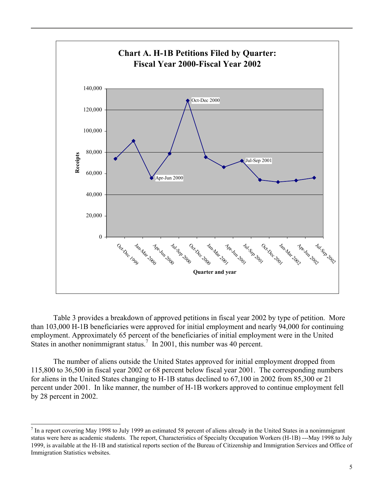

Table 3 provides a breakdown of approved petitions in fiscal year 2002 by type of petition. More than 103,000 H-1B beneficiaries were approved for initial employment and nearly 94,000 for continuing employment. Approximately 65 percent of the beneficiaries of initial employment were in the United States in another nonimmigrant status.<sup>7</sup> In 2001, this number was 40 percent.

The number of aliens outside the United States approved for initial employment dropped from 115,800 to 36,500 in fiscal year 2002 or 68 percent below fiscal year 2001. The corresponding numbers for aliens in the United States changing to H-1B status declined to 67,100 in 2002 from 85,300 or 21 percent under 2001. In like manner, the number of H-1B workers approved to continue employment fell by 28 percent in 2002.

l

 $<sup>7</sup>$  In a report covering May 1998 to July 1999 an estimated 58 percent of aliens already in the United States in a nonimmigrant</sup> status were here as academic students. The report, Characteristics of Specialty Occupation Workers (H-1B) ---May 1998 to July 1999, is available at the H-1B and statistical reports section of the Bureau of Citizenship and Immigration Services and Office of Immigration Statistics websites.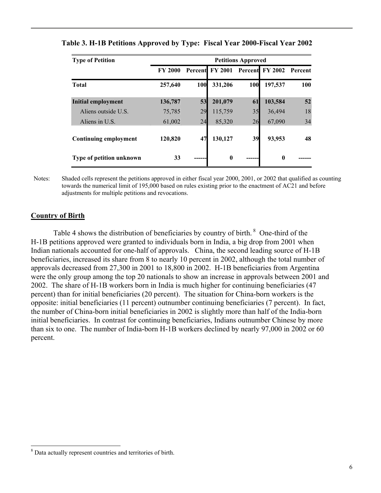| <b>Type of Petition</b>  | <b>Petitions Approved</b> |     |                 |            |                         |     |  |  |
|--------------------------|---------------------------|-----|-----------------|------------|-------------------------|-----|--|--|
|                          | <b>FY 2000</b>            |     | Percent FY 2001 |            | Percent FY 2002 Percent |     |  |  |
| <b>Total</b>             | 257,640                   | 100 | 331,206         | <b>100</b> | 197,537                 | 100 |  |  |
| Initial employment       | 136,787                   | 53  | 201,079         | 61         | 103,584                 | 52  |  |  |
| Aliens outside U.S.      | 75,785                    | 29  | 115,759         | 35         | 36,494                  | 18  |  |  |
| Aliens in U.S.           | 61,002                    | 24  | 85,320          | 26         | 67,090                  | 34  |  |  |
| Continuing employment    | 120,820                   | 47  | 130,127         | 39         | 93,953                  | 48  |  |  |
| Type of petition unknown | 33                        |     | $\mathbf{0}$    |            | $\mathbf{0}$            |     |  |  |

#### **Table 3. H-1B Petitions Approved by Type: Fiscal Year 2000-Fiscal Year 2002**

Notes: Shaded cells represent the petitions approved in either fiscal year 2000, 2001, or 2002 that qualified as counting towards the numerical limit of 195,000 based on rules existing prior to the enactment of AC21 and before adjustments for multiple petitions and revocations.

#### **Country of Birth**

l

Table 4 shows the distribution of beneficiaries by country of birth.<sup>8</sup> One-third of the H-1B petitions approved were granted to individuals born in India, a big drop from 2001 when Indian nationals accounted for one-half of approvals. China, the second leading source of H-1B beneficiaries, increased its share from 8 to nearly 10 percent in 2002, although the total number of approvals decreased from 27,300 in 2001 to 18,800 in 2002. H-1B beneficiaries from Argentina were the only group among the top 20 nationals to show an increase in approvals between 2001 and 2002. The share of H-1B workers born in India is much higher for continuing beneficiaries (47 percent) than for initial beneficiaries (20 percent). The situation for China-born workers is the opposite: initial beneficiaries (11 percent) outnumber continuing beneficiaries (7 percent). In fact, the number of China-born initial beneficiaries in 2002 is slightly more than half of the India-born initial beneficiaries. In contrast for continuing beneficiaries, Indians outnumber Chinese by more than six to one. The number of India-born H-1B workers declined by nearly 97,000 in 2002 or 60 percent.

<sup>8</sup> Data actually represent countries and territories of birth.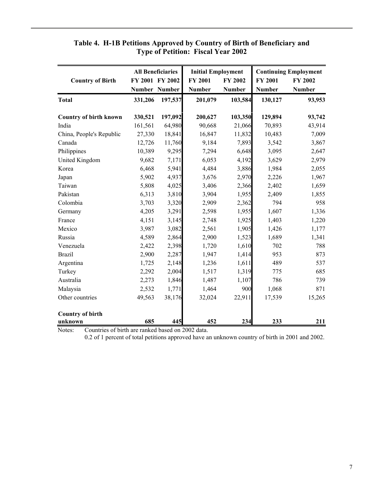|                                                              |                      | <b>All Beneficiaries</b> | <b>Initial Employment</b> |                | <b>Continuing Employment</b> |               |  |
|--------------------------------------------------------------|----------------------|--------------------------|---------------------------|----------------|------------------------------|---------------|--|
| <b>Country of Birth</b>                                      |                      | FY 2001 FY 2002          | <b>FY 2001</b>            | <b>FY 2002</b> | <b>FY 2001</b>               | FY 2002       |  |
|                                                              | <b>Number Number</b> |                          | <b>Number</b>             | <b>Number</b>  | <b>Number</b>                | <b>Number</b> |  |
| <b>Total</b>                                                 | 331,206              | 197,537                  | 201,079                   | 103,584        | 130,127                      | 93,953        |  |
| <b>Country of birth known</b>                                | 330,521              | 197,092                  | 200,627                   | 103,350        | 129,894                      | 93,742        |  |
| India                                                        | 161,561              | 64,980                   | 90,668                    | 21,066         | 70,893                       | 43,914        |  |
| China, People's Republic                                     | 27,330               | 18,841                   | 16,847                    | 11,832         | 10,483                       | 7,009         |  |
| Canada                                                       | 12,726               | 11,760                   | 9,184                     | 7,893          | 3,542                        | 3,867         |  |
| Philippines                                                  | 10,389               | 9,295                    | 7,294                     | 6,648          | 3,095                        | 2,647         |  |
| United Kingdom                                               | 9,682                | 7,171                    | 6,053                     | 4,192          | 3,629                        | 2,979         |  |
| Korea                                                        | 6,468                | 5,941                    | 4,484                     | 3,886          | 1,984                        | 2,055         |  |
| Japan                                                        | 5,902                | 4,937                    | 3,676                     | 2,970          | 2,226                        | 1,967         |  |
| Taiwan                                                       | 5,808                | 4,025                    | 3,406                     | 2,366          | 2,402                        | 1,659         |  |
| Pakistan                                                     | 6,313                | 3,810                    | 3,904                     | 1,955          | 2,409                        | 1,855         |  |
| Colombia                                                     | 3,703                | 3,320                    | 2,909                     | 2,362          | 794                          | 958           |  |
| Germany                                                      | 4,205                | 3,291                    | 2,598                     | 1,955          | 1,607                        | 1,336         |  |
| France                                                       | 4,151                | 3,145                    | 2,748                     | 1,925          | 1,403                        | 1,220         |  |
| Mexico                                                       | 3,987                | 3,082                    | 2,561                     | 1,905          | 1,426                        | 1,177         |  |
| Russia                                                       | 4,589                | 2,864                    | 2,900                     | 1,523          | 1,689                        | 1,341         |  |
| Venezuela                                                    | 2,422                | 2,398                    | 1,720                     | 1,610          | 702                          | 788           |  |
| <b>Brazil</b>                                                | 2,900                | 2,287                    | 1,947                     | 1,414          | 953                          | 873           |  |
| Argentina                                                    | 1,725                | 2,148                    | 1,236                     | 1,611          | 489                          | 537           |  |
| Turkey                                                       | 2,292                | 2,004                    | 1,517                     | 1,319          | 775                          | 685           |  |
| Australia                                                    | 2,273                | 1,846                    | 1,487                     | 1,107          | 786                          | 739           |  |
| Malaysia                                                     | 2,532                | 1,771                    | 1,464                     | 900            | 1,068                        | 871           |  |
| Other countries                                              | 49,563               | 38,176                   | 32,024                    | 22,911         | 17,539                       | 15,265        |  |
| <b>Country of birth</b>                                      |                      |                          |                           |                |                              |               |  |
| unknown<br>Countries of birth are replied begad on 2002 date | 685                  | 445                      | 452                       | 234            | 233                          | 211           |  |

## **Table 4. H-1B Petitions Approved by Country of Birth of Beneficiary and Type of Petition: Fiscal Year 2002**

Notes: Countries of birth are ranked based on 2002 data.

0.2 of 1 percent of total petitions approved have an unknown country of birth in 2001 and 2002.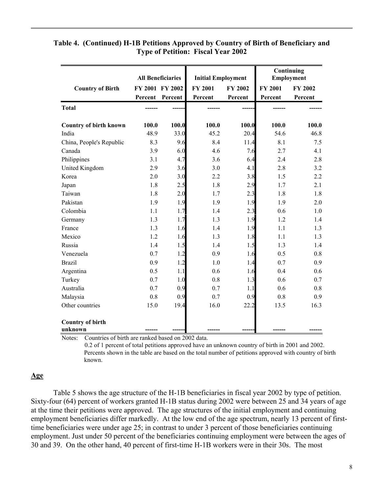|                               |                 | <b>All Beneficiaries</b> | <b>Initial Employment</b> |                |                | Continuing<br>Employment |
|-------------------------------|-----------------|--------------------------|---------------------------|----------------|----------------|--------------------------|
| <b>Country of Birth</b>       | FY 2001 FY 2002 |                          | <b>FY 2001</b>            | <b>FY 2002</b> | <b>FY 2001</b> | FY 2002                  |
|                               | Percent Percent |                          | Percent                   | Percent        | Percent        | Percent                  |
| <b>Total</b>                  |                 |                          |                           |                |                |                          |
| <b>Country of birth known</b> | 100.0           | 100.0                    | 100.0                     | 100.0          | 100.0          | 100.0                    |
| India                         | 48.9            | 33.0                     | 45.2                      | 20.4           | 54.6           | 46.8                     |
| China, People's Republic      | 8.3             | 9.6                      | 8.4                       | 11.4           | 8.1            | 7.5                      |
| Canada                        | 3.9             | 6.0                      | 4.6                       | 7.6            | 2.7            | 4.1                      |
| Philippines                   | 3.1             | 4.7                      | 3.6                       | 6.4            | 2.4            | 2.8                      |
| United Kingdom                | 2.9             | 3.6                      | 3.0                       | 4.1            | 2.8            | 3.2                      |
| Korea                         | 2.0             | 3.0                      | 2.2                       | 3.8            | 1.5            | 2.2                      |
| Japan                         | 1.8             | 2.5                      | 1.8                       | 2.9            | 1.7            | 2.1                      |
| Taiwan                        | 1.8             | 2.0                      | 1.7                       | 2.3            | 1.8            | 1.8                      |
| Pakistan                      | 1.9             | 1.9                      | 1.9                       | 1.9            | 1.9            | 2.0                      |
| Colombia                      | 1.1             | 1.7                      | 1.4                       | 2.3            | 0.6            | 1.0                      |
| Germany                       | 1.3             | 1.7                      | 1.3                       | 1.9            | 1.2            | 1.4                      |
| France                        | 1.3             | 1.6                      | 1.4                       | 1.9            | 1.1            | 1.3                      |
| Mexico                        | 1.2             | 1.6                      | 1.3                       | 1.8            | 1.1            | 1.3                      |
| Russia                        | 1.4             | 1.5                      | 1.4                       | 1.5            | 1.3            | 1.4                      |
| Venezuela                     | 0.7             | 1.2                      | 0.9                       | 1.6            | 0.5            | 0.8                      |
| <b>Brazil</b>                 | 0.9             | 1.2                      | 1.0                       | 1.4            | 0.7            | 0.9                      |
| Argentina                     | 0.5             | 1.1                      | 0.6                       | 1.6            | 0.4            | 0.6                      |
| Turkey                        | 0.7             | 1.0                      | 0.8                       | 1.3            | 0.6            | 0.7                      |
| Australia                     | 0.7             | 0.9                      | 0.7                       | 1.1            | 0.6            | 0.8                      |
| Malaysia                      | 0.8             | 0.9                      | 0.7                       | 0.9            | 0.8            | 0.9                      |
| Other countries               | 15.0            | 19.4                     | 16.0                      | 22.2           | 13.5           | 16.3                     |
| <b>Country of birth</b>       |                 |                          |                           |                |                |                          |
| unknown                       |                 |                          |                           |                |                |                          |

#### **Table 4. (Continued) H-1B Petitions Approved by Country of Birth of Beneficiary and Type of Petition: Fiscal Year 2002**

Notes: Countries of birth are ranked based on 2002 data.

 0.2 of 1 percent of total petitions approved have an unknown country of birth in 2001 and 2002. Percents shown in the table are based on the total number of petitions approved with country of birth known.

## **Age**

Table 5 shows the age structure of the H-1B beneficiaries in fiscal year 2002 by type of petition. Sixty-four (64) percent of workers granted H-1B status during 2002 were between 25 and 34 years of age at the time their petitions were approved. The age structures of the initial employment and continuing employment beneficiaries differ markedly. At the low end of the age spectrum, nearly 13 percent of firsttime beneficiaries were under age 25; in contrast to under 3 percent of those beneficiaries continuing employment. Just under 50 percent of the beneficiaries continuing employment were between the ages of 30 and 39. On the other hand, 40 percent of first-time H-1B workers were in their 30s. The most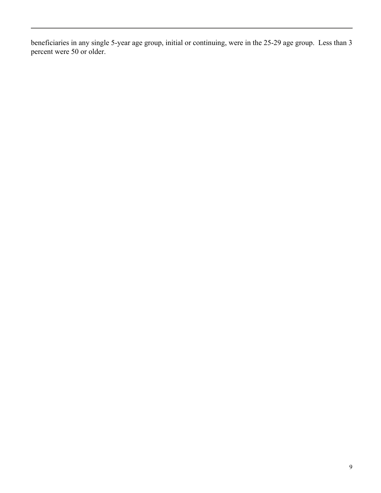beneficiaries in any single 5-year age group, initial or continuing, were in the 25-29 age group. Less than 3 percent were 50 or older.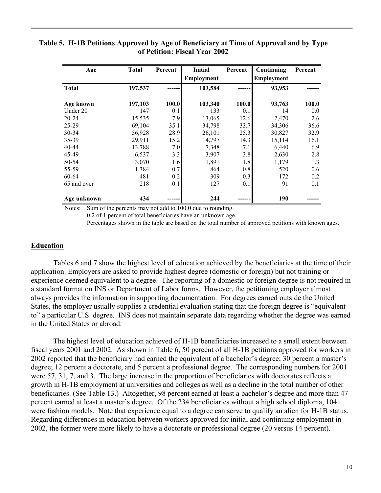#### **Table 5. H-1B Petitions Approved by Age of Beneficiary at Time of Approval and by Type of Petition: Fiscal Year 2002**

| Age          | <b>Total</b> | Percent | <b>Initial</b>    | Percent | Continuing        | Percent |
|--------------|--------------|---------|-------------------|---------|-------------------|---------|
|              |              |         | <b>Employment</b> |         | <b>Employment</b> |         |
| <b>Total</b> | 197,537      |         | 103,584           |         | 93,953            |         |
| Age known    | 197,103      | 100.0   | 103,340           | 100.0   | 93,763            | 100.0   |
| Under 20     | 147          | 0.1     | 133               | 0.1     | 14                | 0.0     |
| $20 - 24$    | 15,535       | 7.9     | 13,065            | 12.6    | 2,470             | 2.6     |
| $25 - 29$    | 69,104       | 35.1    | 34,798            | 33.7    | 34,306            | 36.6    |
| 30-34        | 56,928       | 28.9    | 26,101            | 25.3    | 30,827            | 32.9    |
| 35-39        | 29,911       | 15.2    | 14,797            | 14.3    | 15,114            | 16.1    |
| 40-44        | 13,788       | 7.0     | 7,348             | 7.1     | 6,440             | 6.9     |
| 45-49        | 6,537        | 3.3     | 3,907             | 3.8     | 2,630             | 2.8     |
| 50-54        | 3,070        | 1.6     | 1,891             | 1.8     | 1,179             | 1.3     |
| 55-59        | 1,384        | 0.7     | 864               | 0.8     | 520               | 0.6     |
| 60-64        | 481          | 0.2     | 309               | 0.3     | 172               | 0.2     |
| 65 and over  | 218          | 0.1     | 127               | 0.1     | 91                | 0.1     |
| Age unknown  | 434          |         | 244               |         | 190               |         |

Notes: Sum of the percents may not add to 100.0 due to rounding.

0.2 of 1 percent of total beneficiaries have an unknown age.

Percentages shown in the table are based on the total number of approved petitions with known ages.

#### **Education**

Tables 6 and 7 show the highest level of education achieved by the beneficiaries at the time of their application. Employers are asked to provide highest degree (domestic or foreign) but not training or experience deemed equivalent to a degree. The reporting of a domestic or foreign degree is not required in a standard format on INS or Department of Labor forms. However, the petitioning employer almost always provides the information in supporting documentation. For degrees earned outside the United States, the employer usually supplies a credential evaluation stating that the foreign degree is "equivalent to" a particular U.S. degree. INS does not maintain separate data regarding whether the degree was earned in the United States or abroad.

The highest level of education achieved of H-1B beneficiaries increased to a small extent between fiscal years 2001 and 2002. As shown in Table 6, 50 percent of all H-1B petitions approved for workers in 2002 reported that the beneficiary had earned the equivalent of a bachelor's degree; 30 percent a master's degree; 12 percent a doctorate, and 5 percent a professional degree. The corresponding numbers for 2001 were 57, 31, 7, and 3. The large increase in the proportion of beneficiaries with doctorates reflects a growth in H-1B employment at universities and colleges as well as a decline in the total number of other beneficiaries. (See Table 13.) Altogether, 98 percent earned at least a bachelor's degree and more than 47 percent earned at least a master's degree. Of the 234 beneficiaries without a high school diploma, 104 were fashion models. Note that experience equal to a degree can serve to qualify an alien for H-1B status. Regarding differences in education between workers approved for initial and continuing employment in 2002, the former were more likely to have a doctorate or professional degree (20 versus 14 percent).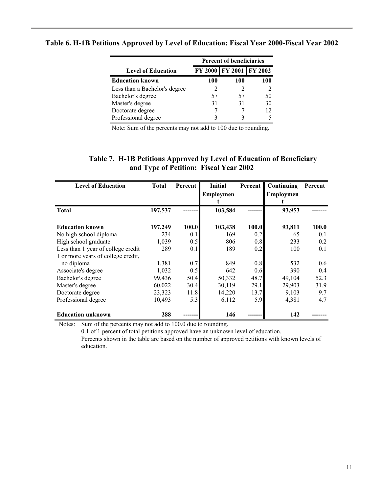|                               | <b>Percent of beneficiaries</b> |                         |     |  |  |  |
|-------------------------------|---------------------------------|-------------------------|-----|--|--|--|
| <b>Level of Education</b>     |                                 | FY 2000 FY 2001 FY 2002 |     |  |  |  |
| <b>Education known</b>        | 100                             | 100                     | 100 |  |  |  |
| Less than a Bachelor's degree | 2                               |                         |     |  |  |  |
| Bachelor's degree             | 57                              | 57                      | 50  |  |  |  |
| Master's degree               | 31                              | 31                      | 30  |  |  |  |
| Doctorate degree              |                                 |                         | 12  |  |  |  |
| Professional degree           | 3                               |                         |     |  |  |  |

#### **Table 6. H-1B Petitions Approved by Level of Education: Fiscal Year 2000-Fiscal Year 2002**

Note: Sum of the percents may not add to 100 due to rounding.

| <b>Level of Education</b>          | <b>Total</b> | Percent | <b>Initial</b> | Percent | Continuing       | Percent |
|------------------------------------|--------------|---------|----------------|---------|------------------|---------|
|                                    |              |         | Employmen      |         | <b>Employmen</b> |         |
|                                    |              |         |                |         |                  |         |
| <b>Total</b>                       | 197,537      |         | 103,584        |         | 93,953           |         |
|                                    |              |         |                |         |                  |         |
| <b>Education known</b>             | 197,249      | 100.0   | 103,438        | 100.0   | 93,811           | 100.0   |
| No high school diploma             | 234          | 0.1     | 169            | 0.2     | 65               | 0.1     |
| High school graduate               | 1,039        | 0.5     | 806            | 0.8     | 233              | 0.2     |
| Less than 1 year of college credit | 289          | 0.1     | 189            | 0.2     | 100              | 0.1     |
| 1 or more years of college credit, |              |         |                |         |                  |         |
| no diploma                         | 1,381        | 0.7     | 849            | 0.8     | 532              | 0.6     |
| Associate's degree                 | 1,032        | 0.5     | 642            | 0.6     | 390              | 0.4     |
| Bachelor's degree                  | 99,436       | 50.4    | 50,332         | 48.7    | 49,104           | 52.3    |
| Master's degree                    | 60,022       | 30.4    | 30,119         | 29.1    | 29,903           | 31.9    |
| Doctorate degree                   | 23,323       | 11.8    | 14,220         | 13.7    | 9,103            | 9.7     |
| Professional degree                | 10,493       | 5.3     | 6,112          | 5.9     | 4,381            | 4.7     |
| <b>Education unknown</b>           | 288          |         | 146            |         | 142              |         |

#### **Table 7. H-1B Petitions Approved by Level of Education of Beneficiary and Type of Petition: Fiscal Year 2002**

Notes: Sum of the percents may not add to 100.0 due to rounding.

0.1 of 1 percent of total petitions approved have an unknown level of education.

Percents shown in the table are based on the number of approved petitions with known levels of education.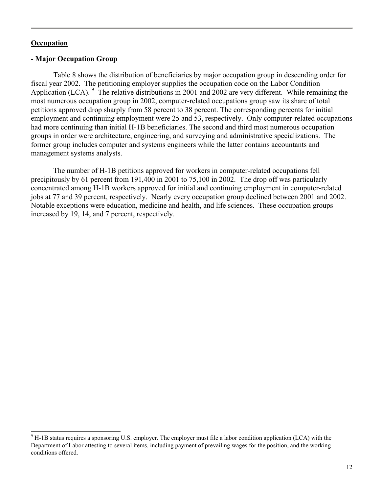#### **Occupation**

l

#### **- Major Occupation Group**

Table 8 shows the distribution of beneficiaries by major occupation group in descending order for fiscal year 2002. The petitioning employer supplies the occupation code on the Labor Condition Application (LCA).  $9$  The relative distributions in 2001 and 2002 are very different. While remaining the most numerous occupation group in 2002, computer-related occupations group saw its share of total petitions approved drop sharply from 58 percent to 38 percent. The corresponding percents for initial employment and continuing employment were 25 and 53, respectively. Only computer-related occupations had more continuing than initial H-1B beneficiaries. The second and third most numerous occupation groups in order were architecture, engineering, and surveying and administrative specializations. The former group includes computer and systems engineers while the latter contains accountants and management systems analysts.

The number of H-1B petitions approved for workers in computer-related occupations fell precipitously by 61 percent from 191,400 in 2001 to 75,100 in 2002. The drop off was particularly concentrated among H-1B workers approved for initial and continuing employment in computer-related jobs at 77 and 39 percent, respectively. Nearly every occupation group declined between 2001 and 2002. Notable exceptions were education, medicine and health, and life sciences. These occupation groups increased by 19, 14, and 7 percent, respectively.

 $9$  H-1B status requires a sponsoring U.S. employer. The employer must file a labor condition application (LCA) with the Department of Labor attesting to several items, including payment of prevailing wages for the position, and the working conditions offered.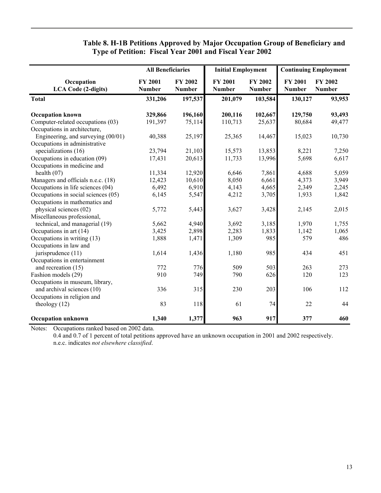## **Table 8. H-1B Petitions Approved by Major Occupation Group of Beneficiary and Type of Petition: Fiscal Year 2001 and Fiscal Year 2002**

|                                          | <b>All Beneficiaries</b>        |                                 | <b>Initial Employment</b>       |                                 | <b>Continuing Employment</b>    |                                 |
|------------------------------------------|---------------------------------|---------------------------------|---------------------------------|---------------------------------|---------------------------------|---------------------------------|
| Occupation<br><b>LCA Code (2-digits)</b> | <b>FY 2001</b><br><b>Number</b> | <b>FY 2002</b><br><b>Number</b> | <b>FY 2001</b><br><b>Number</b> | <b>FY 2002</b><br><b>Number</b> | <b>FY 2001</b><br><b>Number</b> | <b>FY 2002</b><br><b>Number</b> |
| <b>Total</b>                             | 331,206                         | 197,537                         | 201,079                         | 103,584                         | 130,127                         | 93,953                          |
| <b>Occupation known</b>                  | 329,866                         | 196,160                         | 200,116                         | 102,667                         | 129,750                         | 93,493                          |
| Computer-related occupations (03)        | 191,397                         | 75,114                          | 110,713                         | 25,637                          | 80,684                          | 49,477                          |
| Occupations in architecture,             |                                 |                                 |                                 |                                 |                                 |                                 |
| Engineering, and surveying (00/01)       | 40,388                          | 25,197                          | 25,365                          | 14,467                          | 15,023                          | 10,730                          |
| Occupations in administrative            |                                 |                                 |                                 |                                 |                                 |                                 |
| specializations (16)                     | 23,794                          | 21,103                          | 15,573                          | 13,853                          | 8,221                           | 7,250                           |
| Occupations in education (09)            | 17,431                          | 20,613                          | 11,733                          | 13,996                          | 5,698                           | 6,617                           |
| Occupations in medicine and              |                                 |                                 |                                 |                                 |                                 |                                 |
| health $(07)$                            | 11,334                          | 12,920                          | 6,646                           | 7,861                           | 4,688                           | 5,059                           |
| Managers and officials n.e.c. (18)       | 12,423                          | 10,610                          | 8,050                           | 6,661                           | 4,373                           | 3,949                           |
| Occupations in life sciences (04)        | 6,492                           | 6,910                           | 4,143                           | 4,665                           | 2,349                           | 2,245                           |
| Occupations in social sciences (05)      | 6,145                           | 5,547                           | 4,212                           | 3,705                           | 1,933                           | 1,842                           |
| Occupations in mathematics and           |                                 |                                 |                                 |                                 |                                 |                                 |
| physical sciences (02)                   | 5,772                           | 5,443                           | 3,627                           | 3,428                           | 2,145                           | 2,015                           |
| Miscellaneous professional,              |                                 |                                 |                                 |                                 |                                 |                                 |
| technical, and managerial (19)           | 5,662                           | 4,940                           | 3,692                           | 3,185                           | 1,970                           | 1,755                           |
| Occupations in art (14)                  | 3,425                           | 2,898                           | 2,283                           | 1,833                           | 1,142                           | 1,065                           |
| Occupations in writing (13)              | 1,888                           | 1,471                           | 1,309                           | 985                             | 579                             | 486                             |
| Occupations in law and                   |                                 |                                 |                                 |                                 |                                 |                                 |
| jurisprudence (11)                       | 1,614                           | 1,436                           | 1,180                           | 985                             | 434                             | 451                             |
| Occupations in entertainment             |                                 |                                 |                                 |                                 |                                 |                                 |
| and recreation (15)                      | 772                             | 776                             | 509                             | 503                             | 263                             | 273                             |
| Fashion models (29)                      | 910                             | 749                             | 790                             | 626                             | 120                             | 123                             |
| Occupations in museum, library,          |                                 |                                 |                                 |                                 |                                 |                                 |
| and archival sciences (10)               | 336                             | 315                             | 230                             | 203                             | 106                             | 112                             |
| Occupations in religion and              |                                 |                                 |                                 |                                 |                                 |                                 |
| theology $(12)$                          | 83                              | 118                             | 61                              | 74                              | 22                              | 44                              |
| <b>Occupation unknown</b>                | 1,340                           | 1,377                           | 963                             | 917                             | 377                             | 460                             |

Notes: Occupations ranked based on 2002 data.

0.4 and 0.7 of 1 percent of total petitions approved have an unknown occupation in 2001 and 2002 respectively. n.e.c. indicates *not elsewhere classified*.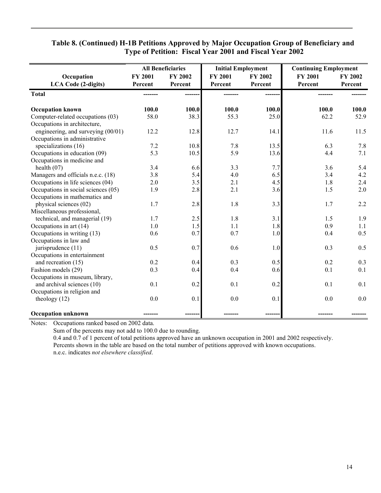|                                          |                           | <b>All Beneficiaries</b> | <b>Initial Employment</b> |                    | <b>Continuing Employment</b> |                    |
|------------------------------------------|---------------------------|--------------------------|---------------------------|--------------------|------------------------------|--------------------|
| Occupation<br><b>LCA Code (2-digits)</b> | <b>FY 2001</b><br>Percent | FY 2002<br>Percent       | <b>FY 2001</b><br>Percent | FY 2002<br>Percent | <b>FY 2001</b><br>Percent    | FY 2002<br>Percent |
| <b>Total</b>                             |                           |                          |                           |                    |                              |                    |
| <b>Occupation known</b>                  | 100.0                     | 100.0                    | 100.0                     | 100.0              | 100.0                        | 100.0              |
| Computer-related occupations (03)        | 58.0                      | 38.3                     | 55.3                      | 25.0               | 62.2                         | 52.9               |
| Occupations in architecture,             |                           |                          |                           |                    |                              |                    |
| engineering, and surveying $(00/01)$     | 12.2                      | 12.8                     | 12.7                      | 14.1               | 11.6                         | 11.5               |
| Occupations in administrative            |                           |                          |                           |                    |                              |                    |
| specializations (16)                     | 7.2                       | 10.8                     | 7.8                       | 13.5               | 6.3                          | 7.8                |
| Occupations in education (09)            | 5.3                       | 10.5                     | 5.9                       | 13.6               | 4.4                          | 7.1                |
| Occupations in medicine and              |                           |                          |                           |                    |                              |                    |
| health $(07)$                            | 3.4                       | 6.6                      | 3.3                       | 7.7                | 3.6                          | 5.4                |
| Managers and officials n.e.c. (18)       | 3.8                       | 5.4                      | 4.0                       | 6.5                | 3.4                          | 4.2                |
| Occupations in life sciences (04)        | 2.0                       | 3.5                      | 2.1                       | 4.5                | 1.8                          | 2.4                |
| Occupations in social sciences (05)      | 1.9                       | 2.8                      | 2.1                       | 3.6                | 1.5                          | 2.0                |
| Occupations in mathematics and           |                           |                          |                           |                    |                              |                    |
| physical sciences (02)                   | 1.7                       | 2.8                      | 1.8                       | 3.3                | 1.7                          | 2.2                |
| Miscellaneous professional,              |                           |                          |                           |                    |                              |                    |
| technical, and managerial (19)           | 1.7                       | 2.5                      | 1.8                       | 3.1                | 1.5                          | 1.9                |
| Occupations in art $(14)$                | 1.0                       | 1.5                      | 1.1                       | 1.8                | 0.9                          | 1.1                |
| Occupations in writing (13)              | 0.6                       | 0.7                      | 0.7                       | 1.0                | 0.4                          | 0.5                |
| Occupations in law and                   |                           |                          |                           |                    |                              |                    |
| jurisprudence (11)                       | 0.5                       | 0.7                      | 0.6                       | 1.0                | 0.3                          | 0.5                |
| Occupations in entertainment             |                           |                          |                           |                    |                              |                    |
| and recreation (15)                      | 0.2                       | 0.4                      | 0.3                       | 0.5                | 0.2                          | 0.3                |
| Fashion models (29)                      | 0.3                       | 0.4                      | 0.4                       | 0.6                | 0.1                          | 0.1                |
| Occupations in museum, library,          |                           |                          |                           |                    |                              |                    |
| and archival sciences (10)               | 0.1                       | 0.2                      | 0.1                       | 0.2                | 0.1                          | 0.1                |
| Occupations in religion and              |                           |                          |                           |                    |                              |                    |
| theology $(12)$                          | 0.0                       | 0.1                      | 0.0                       | 0.1                | 0.0                          | 0.0                |
| <b>Occupation unknown</b>                |                           |                          |                           |                    |                              |                    |

## **Table 8. (Continued) H-1B Petitions Approved by Major Occupation Group of Beneficiary and Type of Petition: Fiscal Year 2001 and Fiscal Year 2002**

Notes: Occupations ranked based on 2002 data.

Sum of the percents may not add to 100.0 due to rounding.

0.4 and 0.7 of 1 percent of total petitions approved have an unknown occupation in 2001 and 2002 respectively. Percents shown in the table are based on the total number of petitions approved with known occupations. n.e.c. indicates *not elsewhere classified*.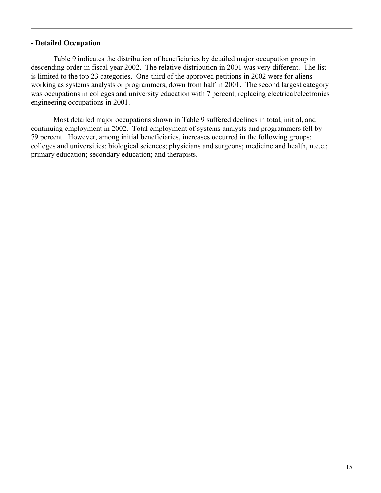#### **- Detailed Occupation**

Table 9 indicates the distribution of beneficiaries by detailed major occupation group in descending order in fiscal year 2002. The relative distribution in 2001 was very different. The list is limited to the top 23 categories. One-third of the approved petitions in 2002 were for aliens working as systems analysts or programmers, down from half in 2001. The second largest category was occupations in colleges and university education with 7 percent, replacing electrical/electronics engineering occupations in 2001.

Most detailed major occupations shown in Table 9 suffered declines in total, initial, and continuing employment in 2002. Total employment of systems analysts and programmers fell by 79 percent. However, among initial beneficiaries, increases occurred in the following groups: colleges and universities; biological sciences; physicians and surgeons; medicine and health, n.e.c.; primary education; secondary education; and therapists.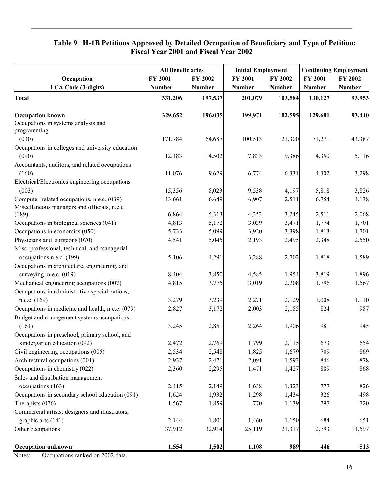## **Table 9. H-1B Petitions Approved by Detailed Occupation of Beneficiary and Type of Petition: Fiscal Year 2001 and Fiscal Year 2002**

|                                                  | <b>All Beneficiaries</b> |               | <b>Initial Employment</b> |               | <b>Continuing Employment</b> |               |
|--------------------------------------------------|--------------------------|---------------|---------------------------|---------------|------------------------------|---------------|
| Occupation                                       | FY 2001                  | FY 2002       | FY 2001                   | FY 2002       | FY 2001                      | FY 2002       |
| <b>LCA Code (3-digits)</b>                       | <b>Number</b>            | <b>Number</b> | Number                    | <b>Number</b> | <b>Number</b>                | <b>Number</b> |
| <b>Total</b>                                     | 331,206                  | 197,537       | 201,079                   | 103,584       | 130,127                      | 93,953        |
| <b>Occupation known</b>                          | 329,652                  | 196,035       | 199,971                   | 102,595       | 129,681                      | 93,440        |
| Occupations in systems analysis and              |                          |               |                           |               |                              |               |
| programming                                      |                          |               |                           |               |                              |               |
| (030)                                            | 171,784                  | 64,687        | 100,513                   | 21,300        | 71,271                       | 43,387        |
| Occupations in colleges and university education |                          |               |                           |               |                              |               |
| (090)                                            | 12,183                   | 14,502        | 7,833                     | 9,386         | 4,350                        | 5,116         |
| Accountants, auditors, and related occupations   |                          |               |                           |               |                              |               |
| (160)                                            | 11,076                   | 9,629         | 6,774                     | 6,331         | 4,302                        | 3,298         |
| Electrical/Electronics engineering occupations   |                          |               |                           |               |                              |               |
| (003)                                            | 15,356                   | 8,023         | 9,538                     | 4,197         | 5,818                        | 3,826         |
| Computer-related occupations, n.e.c. (039)       | 13,661                   | 6,649         | 6,907                     | 2,511         | 6,754                        | 4,138         |
| Miscellaneous managers and officials, n.e.c.     |                          |               |                           |               |                              |               |
| (189)                                            | 6,864                    | 5,313         | 4,353                     | 3,245         | 2,511                        | 2,068         |
| Occupations in biological sciences (041)         | 4,813                    | 5,172         | 3,039                     | 3,471         | 1,774                        | 1,701         |
| Occupations in economics (050)                   | 5,733                    | 5,099         | 3,920                     | 3,398         | 1,813                        | 1,701         |
| Physicians and surgeons (070)                    | 4,541                    | 5,045         | 2,193                     | 2,495         | 2,348                        | 2,550         |
| Misc. professional, technical, and managerial    |                          |               |                           |               |                              |               |
| occupations n.e.c. (199)                         | 5,106                    | 4,291         | 3,288                     | 2,702         | 1,818                        | 1,589         |
| Occupations in architecture, engineering, and    |                          |               |                           |               |                              |               |
| surveying, n.e.c. $(019)$                        | 8,404                    | 3,850         | 4,585                     | 1,954         | 3,819                        | 1,896         |
| Mechanical engineering occupations (007)         | 4,815                    | 3,775         | 3,019                     | 2,208         | 1,796                        | 1,567         |
| Occupations in administrative specializations,   |                          |               |                           |               |                              |               |
| n.e.c. (169)                                     | 3,279                    | 3,239         | 2,271                     | 2,129         | 1,008                        | 1,110         |
| Occupations in medicine and health, n.e.c. (079) | 2,827                    | 3,172         | 2,003                     | 2,185         | 824                          | 987           |
| Budget and management systems occupations        |                          |               |                           |               |                              |               |
| (161)                                            | 3,245                    | 2,851         | 2,264                     | 1,906         | 981                          | 945           |
| Occupations in preschool, primary school, and    |                          |               |                           |               |                              |               |
| kindergarten education (092)                     | 2,472                    | 2,769         | 1,799                     | 2,115         | 673                          | 654           |
| Civil engineering occupations (005)              | 2,534                    | 2,548         | 1,825                     | 1,679         | 709                          | 869           |
| Architectural occupations (001)                  | 2,937                    | 2,471         | 2,091                     | 1,593         | 846                          | 878           |
| Occupations in chemistry (022)                   | 2,360                    | 2,295         | 1,471                     | 1,427         | 889                          | 868           |
| Sales and distribution management                |                          |               |                           |               |                              |               |
| occupations (163)                                | 2,415                    | 2,149         | 1,638                     | 1,323         | 777                          | 826           |
| Occupations in secondary school education (091)  | 1,624                    | 1,932         | 1,298                     | 1,434         | 326                          | 498           |
| Therapists (076)                                 | 1,567                    | 1,859         | 770                       | 1,139         | 797                          | 720           |
| Commercial artists: designers and illustrators,  |                          |               |                           |               |                              |               |
| graphic arts (141)                               | 2,144                    | 1,801         | 1,460                     | 1,150         | 684                          | 651           |
| Other occupations                                | 37,912                   | 32,914        | 25,119                    | 21,317        | 12,793                       | 11,597        |
| <b>Occupation unknown</b>                        | 1,554                    | 1,502         | 1,108                     | 989           | 446                          | 513           |

Notes: Occupations ranked on 2002 data.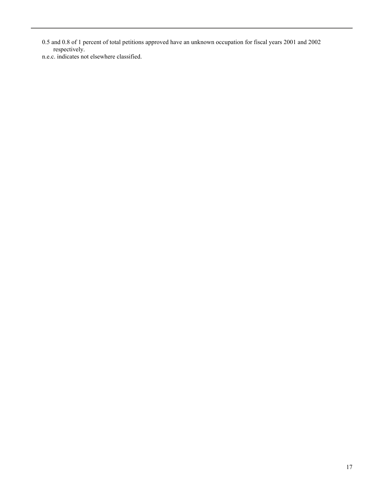0.5 and 0.8 of 1 percent of total petitions approved have an unknown occupation for fiscal years 2001 and 2002 respectively.

n.e.c. indicates not elsewhere classified.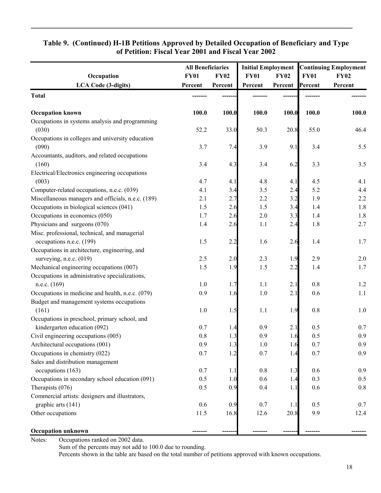|                                                           | <b>All Beneficiaries</b> |             |             |             |             | <b>Initial Employment Continuing Employment</b> |
|-----------------------------------------------------------|--------------------------|-------------|-------------|-------------|-------------|-------------------------------------------------|
| Occupation                                                | <b>FY01</b>              | <b>FY02</b> | <b>FY01</b> | <b>FY02</b> | <b>FY01</b> | <b>FY02</b>                                     |
| <b>LCA Code (3-digits)</b>                                | Percent                  | Percent     | Percent     | Percent     | Percent     | Percent                                         |
| <b>Total</b>                                              |                          |             |             |             |             |                                                 |
| <b>Occupation known</b>                                   | 100.0                    | 100.0       | 100.0       | 100.0       | 100.0       | 100.0                                           |
| Occupations in systems analysis and programming           |                          |             |             |             |             |                                                 |
| (030)                                                     | 52.2                     | 33.0        | 50.3        | 20.8        | 55.0        | 46.4                                            |
| Occupations in colleges and university education<br>(090) | 3.7                      | 7.4         | 3.9         | 9.1         | 3.4         | 5.5                                             |
| Accountants, auditors, and related occupations            |                          |             |             |             |             |                                                 |
| (160)                                                     | 3.4                      | 4.3         | 3.4         | 6.2         | 3.3         | 3.5                                             |
| Electrical/Electronics engineering occupations            |                          |             |             |             |             |                                                 |
| (003)                                                     | 4.7                      | 4.1         | 4.8         | 4.1         | 4.5         | 4.1                                             |
| Computer-related occupations, n.e.c. (039)                | 4.1                      | 3.4         | 3.5         | 2.4         | 5.2         | 4.4                                             |
| Miscellaneous managers and officials, n.e.c. (189)        | 2.1                      | 2.7         | 2.2         | 3.2         | 1.9         | 2.2                                             |
| Occupations in biological sciences (041)                  | 1.5                      | 2.6         | 1.5         | 3.4         | 1.4         | 1.8                                             |
| Occupations in economics (050)                            | 1.7                      | 2.6         | 2.0         | 3.3         | 1.4         | 1.8                                             |
| Physicians and surgeons (070)                             | 1.4                      | 2.6         | 1.1         | 2.4         | 1.8         | 2.7                                             |
| Misc. professional, technical, and managerial             |                          |             |             |             |             |                                                 |
| occupations n.e.c. (199)                                  | 1.5                      | 2.2         | 1.6         | 2.6         | 1.4         | 1.7                                             |
| Occupations in architecture, engineering, and             |                          |             |             |             |             |                                                 |
| surveying, n.e.c. (019)                                   | 2.5                      | 2.0         | 2.3         | 1.9         | 2.9         | 2.0                                             |
| Mechanical engineering occupations (007)                  | 1.5                      | 1.9         | 1.5         | 2.2         | 1.4         | 1.7                                             |
| Occupations in administrative specializations,            |                          |             |             |             |             |                                                 |
| n.e.c. (169)                                              | $1.0$                    | 1.7         | 1.1         | 2.1         | 0.8         | $1.2\,$                                         |
| Occupations in medicine and health, n.e.c. (079)          | 0.9                      | 1.6         | 1.0         | 2.1         | 0.6         | 1.1                                             |
| Budget and management systems occupations                 |                          |             |             |             |             |                                                 |
| (161)                                                     | 1.0                      | 1.5         | 1.1         | 1.9         | 0.8         | 1.0                                             |
| Occupations in preschool, primary school, and             |                          |             |             |             |             |                                                 |
| kindergarten education (092)                              | 0.7                      | 1.4         | 0.9         | 2.1         | 0.5         | 0.7                                             |
| Civil engineering occupations (005)                       | 0.8                      | 1.3         | 0.9         | 1.6         | 0.5         | 0.9                                             |
| Architectural occupations (001)                           | 0.9                      | 1.3         | $1.0$       | 1.6         | 0.7         | 0.9                                             |
| Occupations in chemistry (022)                            | 0.7                      | 1.2         | 0.7         | 1.4         | 0.7         | 0.9                                             |
| Sales and distribution management                         |                          |             |             |             |             |                                                 |
| occupations (163)                                         | 0.7                      | 1.1         | $0.8\,$     | 1.3         | 0.6         | 0.9                                             |
| Occupations in secondary school education (091)           | 0.5                      | 1.0         | 0.6         | 1.4         | 0.3         | 0.5                                             |
| Therapists (076)                                          | 0.5                      | 0.9         | 0.4         | 1.1         | 0.6         | 0.8                                             |
| Commercial artists: designers and illustrators,           |                          |             |             |             |             |                                                 |
| graphic arts (141)                                        | 0.6                      | 0.9         | 0.7         | 1.1         | 0.5         | 0.7                                             |
| Other occupations                                         | 11.5                     | 16.8        | 12.6        | 20.8        | 9.9         | 12.4                                            |
| <b>Occupation unknown</b>                                 |                          |             |             |             |             |                                                 |

## **Table 9. (Continued) H-1B Petitions Approved by Detailed Occupation of Beneficiary and Type of Petition: Fiscal Year 2001 and Fiscal Year 2002**

Notes: Occupations ranked on 2002 data.

Sum of the percents may not add to 100.0 due to rounding.

Percents shown in the table are based on the total number of petitions approved with known occupations.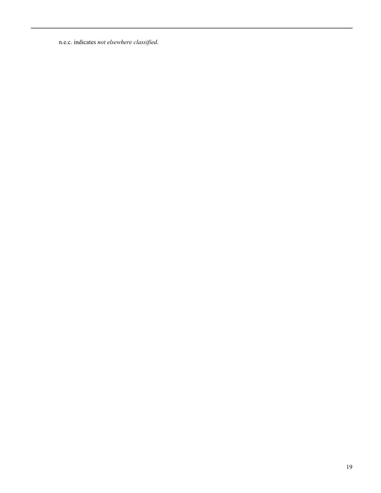n.e.c. indicates *not elsewhere classified*.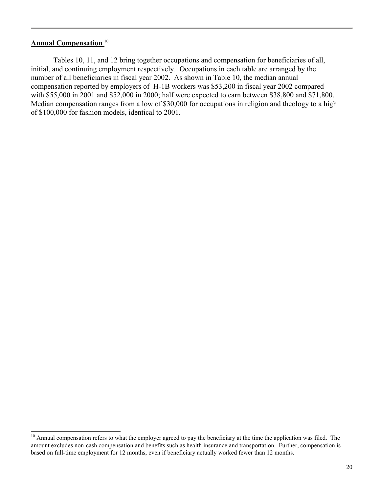## **Annual Compensation** <sup>10</sup>

l

Tables 10, 11, and 12 bring together occupations and compensation for beneficiaries of all, initial, and continuing employment respectively. Occupations in each table are arranged by the number of all beneficiaries in fiscal year 2002. As shown in Table 10, the median annual compensation reported by employers of H-1B workers was \$53,200 in fiscal year 2002 compared with \$55,000 in 2001 and \$52,000 in 2000; half were expected to earn between \$38,800 and \$71,800. Median compensation ranges from a low of \$30,000 for occupations in religion and theology to a high of \$100,000 for fashion models, identical to 2001.

<sup>&</sup>lt;sup>10</sup> Annual compensation refers to what the employer agreed to pay the beneficiary at the time the application was filed. The amount excludes non-cash compensation and benefits such as health insurance and transportation. Further, compensation is based on full-time employment for 12 months, even if beneficiary actually worked fewer than 12 months.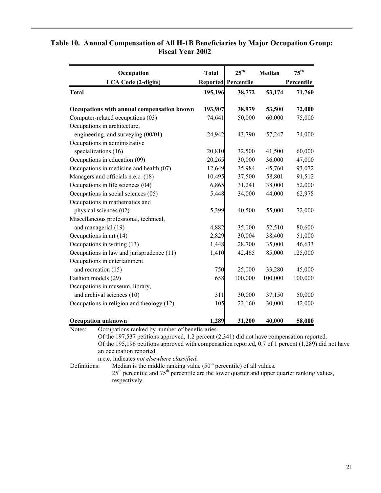| Occupation                                 | <b>Total</b> | $25^{\text{th}}$           | Median  | $75^{\text{th}}$<br>Percentile |  |
|--------------------------------------------|--------------|----------------------------|---------|--------------------------------|--|
| <b>LCA Code (2-digits)</b>                 |              | <b>Reported Percentile</b> |         |                                |  |
| <b>Total</b>                               | 195,196      | 38,772                     | 53,174  | 71,760                         |  |
| Occupations with annual compensation known | 193,907      | 38,979                     | 53,500  | 72,000                         |  |
| Computer-related occupations (03)          | 74,641       | 50,000                     | 60,000  | 75,000                         |  |
| Occupations in architecture,               |              |                            |         |                                |  |
| engineering, and surveying (00/01)         | 24,942       | 43,790                     | 57,247  | 74,000                         |  |
| Occupations in administrative              |              |                            |         |                                |  |
| specializations (16)                       | 20,810       | 32,500                     | 41,500  | 60,000                         |  |
| Occupations in education (09)              | 20,265       | 30,000                     | 36,000  | 47,000                         |  |
| Occupations in medicine and health (07)    | 12,649       | 35,984                     | 45,760  | 93,072                         |  |
| Managers and officials n.e.c. (18)         | 10,495       | 37,500                     | 58,801  | 91,512                         |  |
| Occupations in life sciences (04)          | 6,865        | 31,241                     | 38,000  | 52,000                         |  |
| Occupations in social sciences (05)        | 5,448        | 34,000                     | 44,000  | 62,978                         |  |
| Occupations in mathematics and             |              |                            |         |                                |  |
| physical sciences (02)                     | 5,399        | 40,500                     | 55,000  | 72,000                         |  |
| Miscellaneous professional, technical,     |              |                            |         |                                |  |
| and managerial (19)                        | 4,882        | 35,000                     | 52,510  | 80,600                         |  |
| Occupations in art (14)                    | 2,829        | 30,004                     | 38,400  | 51,000                         |  |
| Occupations in writing (13)                | 1,448        | 28,700                     | 35,000  | 46,633                         |  |
| Occupations in law and jurisprudence (11)  | 1,410        | 42,465                     | 85,000  | 125,000                        |  |
| Occupations in entertainment               |              |                            |         |                                |  |
| and recreation (15)                        | 750          | 25,000                     | 33,280  | 45,000                         |  |
| Fashion models (29)                        | 658          | 100,000                    | 100,000 | 100,000                        |  |
| Occupations in museum, library,            |              |                            |         |                                |  |
| and archival sciences (10)                 | 311          | 30,000                     | 37,150  | 50,000                         |  |
| Occupations in religion and theology (12)  | 105          | 23,160                     | 30,000  | 42,000                         |  |
| <b>Occupation unknown</b>                  | 1,289        | 31,200                     | 40,000  | 58,000                         |  |

## **Table 10. Annual Compensation of All H-1B Beneficiaries by Major Occupation Group: Fiscal Year 2002**

Notes: Occupations ranked by number of beneficiaries.

 Of the 197,537 petitions approved, 1.2 percent (2,341) did not have compensation reported. Of the 195,196 petitions approved with compensation reported, 0.7 of 1 percent (1,289) did not have an occupation reported.

n.e.c. indicates *not elsewhere classified*.

Definitions: Median is the middle ranking value  $(50<sup>th</sup>$  percentile) of all values.  $25<sup>th</sup>$  percentile and  $75<sup>th</sup>$  percentile are the lower quarter and upper quarter ranking values, respectively.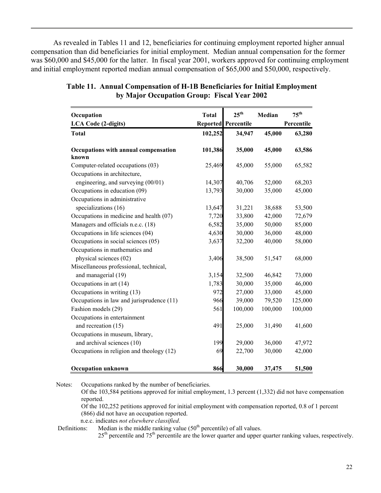As revealed in Tables 11 and 12, beneficiaries for continuing employment reported higher annual compensation than did beneficiaries for initial employment. Median annual compensation for the former was \$60,000 and \$45,000 for the latter. In fiscal year 2001, workers approved for continuing employment and initial employment reported median annual compensation of \$65,000 and \$50,000, respectively.

| Occupation                                    | <b>Total</b> | $25^{th}$                  | Median  | $75^{th}$  |
|-----------------------------------------------|--------------|----------------------------|---------|------------|
| <b>LCA Code (2-digits)</b>                    |              | <b>Reported Percentile</b> |         | Percentile |
| <b>Total</b>                                  | 102,252      | 34,947                     | 45,000  | 63,280     |
| Occupations with annual compensation<br>known | 101,386      | 35,000                     | 45,000  | 63,586     |
| Computer-related occupations (03)             | 25,469       | 45,000                     | 55,000  | 65,582     |
| Occupations in architecture,                  |              |                            |         |            |
| engineering, and surveying (00/01)            | 14,307       | 40,706                     | 52,000  | 68,203     |
| Occupations in education (09)                 | 13,793       | 30,000                     | 35,000  | 45,000     |
| Occupations in administrative                 |              |                            |         |            |
| specializations (16)                          | 13,647       | 31,221                     | 38,688  | 53,500     |
| Occupations in medicine and health (07)       | 7,720        | 33,800                     | 42,000  | 72,679     |
| Managers and officials n.e.c. (18)            | 6,582        | 35,000                     | 50,000  | 85,000     |
| Occupations in life sciences (04)             | 4,630        | 30,000                     | 36,000  | 48,000     |
| Occupations in social sciences (05)           | 3,637        | 32,200                     | 40,000  | 58,000     |
| Occupations in mathematics and                |              |                            |         |            |
| physical sciences (02)                        | 3,406        | 38,500                     | 51,547  | 68,000     |
| Miscellaneous professional, technical,        |              |                            |         |            |
| and managerial (19)                           | 3,154        | 32,500                     | 46,842  | 73,000     |
| Occupations in art (14)                       | 1,783        | 30,000                     | 35,000  | 46,000     |
| Occupations in writing (13)                   | 972          | 27,000                     | 33,000  | 45,000     |
| Occupations in law and jurisprudence (11)     | 966          | 39,000                     | 79,520  | 125,000    |
| Fashion models (29)                           | 561          | 100,000                    | 100,000 | 100,000    |
| Occupations in entertainment                  |              |                            |         |            |
| and recreation (15)                           | 491          | 25,000                     | 31,490  | 41,600     |
| Occupations in museum, library,               |              |                            |         |            |
| and archival sciences (10)                    | 199          | 29,000                     | 36,000  | 47,972     |
| Occupations in religion and theology (12)     | 69           | 22,700                     | 30,000  | 42,000     |
| <b>Occupation unknown</b>                     | 866          | 30,000                     | 37,475  | 51,500     |

| Table 11. Annual Compensation of H-1B Beneficiaries for Initial Employment |
|----------------------------------------------------------------------------|
| by Major Occupation Group: Fiscal Year 2002                                |

Notes: Occupations ranked by the number of beneficiaries.

Of the 103,584 petitions approved for initial employment, 1.3 percent (1,332) did not have compensation reported.

Of the 102,252 petitions approved for initial employment with compensation reported, 0.8 of 1 percent (866) did not have an occupation reported.

n.e.c. indicates *not elsewhere classified*.

Definitions: Median is the middle ranking value  $(50<sup>th</sup>$  percentile) of all values.

25<sup>th</sup> percentile and 75<sup>th</sup> percentile are the lower quarter and upper quarter ranking values, respectively.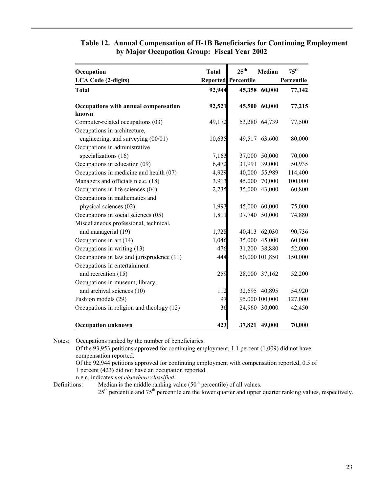| Occupation                                | <b>Total</b> | $25^{th}$                  | <b>Median</b>  | $75^{\text{th}}$ |
|-------------------------------------------|--------------|----------------------------|----------------|------------------|
| <b>LCA Code (2-digits)</b>                |              | <b>Reported Percentile</b> |                | Percentile       |
| <b>Total</b>                              | 92,944       |                            | 45,358 60,000  | 77,142           |
| Occupations with annual compensation      | 92,521       |                            | 45,500 60,000  | 77,215           |
| known                                     |              |                            |                |                  |
| Computer-related occupations (03)         | 49,172       |                            | 53,280 64,739  | 77,500           |
| Occupations in architecture,              |              |                            |                |                  |
| engineering, and surveying (00/01)        | 10,635       |                            | 49,517 63,600  | 80,000           |
| Occupations in administrative             |              |                            |                |                  |
| specializations (16)                      | 7,163        | 37,000                     | 50,000         | 70,000           |
| Occupations in education (09)             | 6,472        | 31,991                     | 39,000         | 50,935           |
| Occupations in medicine and health (07)   | 4,929        |                            | 40,000 55,989  | 114,400          |
| Managers and officials n.e.c. (18)        | 3,913        | 45,000                     | 70,000         | 100,000          |
| Occupations in life sciences (04)         | 2,235        | 35,000                     | 43,000         | 60,800           |
| Occupations in mathematics and            |              |                            |                |                  |
| physical sciences (02)                    | 1,993        | 45,000                     | 60,000         | 75,000           |
| Occupations in social sciences (05)       | 1,811        | 37,740                     | 50,000         | 74,880           |
| Miscellaneous professional, technical,    |              |                            |                |                  |
| and managerial (19)                       | 1,728        |                            | 40,413 62,030  | 90,736           |
| Occupations in art (14)                   | 1,046        |                            | 35,000 45,000  | 60,000           |
| Occupations in writing (13)               | 476          |                            | 31,200 38,880  | 52,000           |
| Occupations in law and jurisprudence (11) | 444          |                            | 50,000 101,850 | 150,000          |
| Occupations in entertainment              |              |                            |                |                  |
| and recreation (15)                       | 259          |                            | 28,000 37,162  | 52,200           |
| Occupations in museum, library,           |              |                            |                |                  |
| and archival sciences (10)                | 112          |                            | 32,695 40,895  | 54,920           |
| Fashion models (29)                       | 97           |                            | 95,000 100,000 | 127,000          |
| Occupations in religion and theology (12) | 36           |                            | 24,960 30,000  | 42,450           |
| <b>Occupation unknown</b>                 | 423          | 37,821                     | 49,000         | 70,000           |

## **Table 12. Annual Compensation of H-1B Beneficiaries for Continuing Employment by Major Occupation Group: Fiscal Year 2002**

Notes: Occupations ranked by the number of beneficiaries.

Of the 93,953 petitions approved for continuing employment, 1.1 percent (1,009) did not have compensation reported.

Of the 92,944 petitions approved for continuing employment with compensation reported, 0.5 of 1 percent (423) did not have an occupation reported.

n.e.c. indicates *not elsewhere classified*.

Definitions: Median is the middle ranking value  $(50<sup>th</sup>$  percentile) of all values.

 $25<sup>th</sup>$  percentile and  $75<sup>th</sup>$  percentile are the lower quarter and upper quarter ranking values, respectively.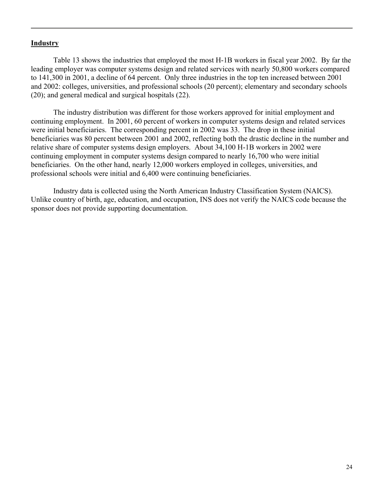#### **Industry**

Table 13 shows the industries that employed the most H-1B workers in fiscal year 2002. By far the leading employer was computer systems design and related services with nearly 50,800 workers compared to 141,300 in 2001, a decline of 64 percent. Only three industries in the top ten increased between 2001 and 2002: colleges, universities, and professional schools (20 percent); elementary and secondary schools (20); and general medical and surgical hospitals (22).

The industry distribution was different for those workers approved for initial employment and continuing employment. In 2001, 60 percent of workers in computer systems design and related services were initial beneficiaries. The corresponding percent in 2002 was 33. The drop in these initial beneficiaries was 80 percent between 2001 and 2002, reflecting both the drastic decline in the number and relative share of computer systems design employers. About 34,100 H-1B workers in 2002 were continuing employment in computer systems design compared to nearly 16,700 who were initial beneficiaries. On the other hand, nearly 12,000 workers employed in colleges, universities, and professional schools were initial and 6,400 were continuing beneficiaries.

Industry data is collected using the North American Industry Classification System (NAICS). Unlike country of birth, age, education, and occupation, INS does not verify the NAICS code because the sponsor does not provide supporting documentation.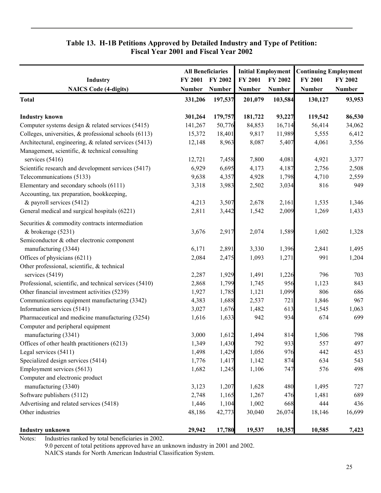## **Table 13. H-1B Petitions Approved by Detailed Industry and Type of Petition: Fiscal Year 2001 and Fiscal Year 2002**

|                                                          | <b>All Beneficiaries</b> |                | <b>Initial Employment</b> |               | <b>Continuing Employment</b> |               |
|----------------------------------------------------------|--------------------------|----------------|---------------------------|---------------|------------------------------|---------------|
| Industry                                                 | FY 2001                  | <b>FY 2002</b> | FY 2001                   | FY 2002       | FY 2001                      | FY 2002       |
| <b>NAICS Code (4-digits)</b>                             | <b>Number</b>            | <b>Number</b>  | Number                    | <b>Number</b> | <b>Number</b>                | <b>Number</b> |
| <b>Total</b>                                             | 331,206                  | 197,537        | 201,079                   | 103,584       | 130,127                      | 93,953        |
| <b>Industry known</b>                                    | 301,264                  | 179,757        | 181,722                   | 93,227        | 119,542                      | 86,530        |
| Computer systems design $&$ related services (5415)      | 141,267                  | 50,776         | 84,853                    | 16,714        | 56,414                       | 34,062        |
| Colleges, universities, $\&$ professional schools (6113) | 15,372                   | 18,401         | 9,817                     | 11,989        | 5,555                        | 6,412         |
| Architectural, engineering, & related services (5413)    | 12,148                   | 8,963          | 8,087                     | 5,407         | 4,061                        | 3,556         |
| Management, scientific, & technical consulting           |                          |                |                           |               |                              |               |
| services (5416)                                          | 12,721                   | 7,458          | 7,800                     | 4,081         | 4,921                        | 3,377         |
| Scientific research and development services (5417)      | 6,929                    | 6,695          | 4,173                     | 4,187         | 2,756                        | 2,508         |
| Telecommunications (5133)                                | 9,638                    | 4,357          | 4,928                     | 1,798         | 4,710                        | 2,559         |
| Elementary and secondary schools (6111)                  | 3,318                    | 3,983          | 2,502                     | 3,034         | 816                          | 949           |
| Accounting, tax preparation, bookkeeping,                |                          |                |                           |               |                              |               |
| & payroll services (5412)                                | 4,213                    | 3,507          | 2,678                     | 2,161         | 1,535                        | 1,346         |
| General medical and surgical hospitals (6221)            | 2,811                    | 3,442          | 1,542                     | 2,009         | 1,269                        | 1,433         |
| Securities & commodity contracts intermediation          |                          |                |                           |               |                              |               |
| & brokerage (5231)                                       | 3,676                    | 2,917          | 2,074                     | 1,589         | 1,602                        | 1,328         |
| Semiconductor & other electronic component               |                          |                |                           |               |                              |               |
| manufacturing (3344)                                     | 6,171                    | 2,891          | 3,330                     | 1,396         | 2,841                        | 1,495         |
| Offices of physicians (6211)                             | 2,084                    | 2,475          | 1,093                     | 1,271         | 991                          | 1,204         |
| Other professional, scientific, & technical              |                          |                |                           |               |                              |               |
| services (5419)                                          | 2,287                    | 1,929          | 1,491                     | 1,226         | 796                          | 703           |
| Professional, scientific, and technical services (5410)  | 2,868                    | 1,799          | 1,745                     | 956           | 1,123                        | 843           |
| Other financial investment activities (5239)             | 1,927                    | 1,785          | 1,121                     | 1,099         | 806                          | 686           |
| Communications equipment manufacturing (3342)            | 4,383                    | 1,688          | 2,537                     | 721           | 1,846                        | 967           |
| Information services (5141)                              | 3,027                    | 1,676          | 1,482                     | 613           | 1,545                        | 1,063         |
| Pharmaceutical and medicine manufacturing (3254)         | 1,616                    | 1,633          | 942                       | 934           | 674                          | 699           |
| Computer and peripheral equipment                        |                          |                |                           |               |                              |               |
| manufacturing (3341)                                     | 3,000                    | 1,612          | 1,494                     | 814           | 1,506                        | 798           |
| Offices of other health practitioners (6213)             | 1,349                    | 1,430          | 792                       | 933           | 557                          | 497           |
| Legal services (5411)                                    | 1,498                    | 1,429          | 1,056                     | 976           | 442                          | 453           |
| Specialized design services (5414)                       | 1,776                    | 1,417          | 1,142                     | 874           | 634                          | 543           |
| Employment services (5613)                               | 1,682                    | 1,245          | 1,106                     | 747           | 576                          | 498           |
| Computer and electronic product                          |                          |                |                           |               |                              |               |
| manufacturing (3340)                                     | 3,123                    | 1,207          | 1,628                     | 480           | 1,495                        | 727           |
| Software publishers (5112)                               | 2,748                    | 1,165          | 1,267                     | 476           | 1,481                        | 689           |
| Advertising and related services (5418)                  | 1,446                    | 1,104          | 1,002                     | 668           | 444                          | 436           |
| Other industries                                         | 48,186                   | 42,773         | 30,040                    | 26,074        | 18,146                       | 16,699        |
| <b>Industry unknown</b>                                  | 29,942                   | 17,780         | 19,537                    | 10,357        | 10,585                       | 7,423         |

Notes: Industries ranked by total beneficiaries in 2002.

9.0 percent of total petitions approved have an unknown industry in 2001 and 2002.

NAICS stands for North American Industrial Classification System.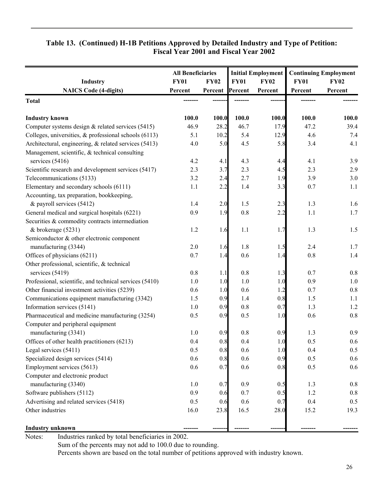## **Table 13. (Continued) H-1B Petitions Approved by Detailed Industry and Type of Petition: Fiscal Year 2001 and Fiscal Year 2002**

|                                                         | <b>All Beneficiaries</b> |                 |             | <b>Initial Employment</b> | <b>Continuing Employment</b> |             |
|---------------------------------------------------------|--------------------------|-----------------|-------------|---------------------------|------------------------------|-------------|
| <b>Industry</b>                                         | <b>FY01</b>              | <b>FY02</b>     | <b>FY01</b> | <b>FY02</b>               | <b>FY01</b>                  | <b>FY02</b> |
| <b>NAICS Code (4-digits)</b>                            | Percent                  | Percent Percent |             | Percent                   | Percent                      | Percent     |
| <b>Total</b>                                            |                          |                 |             |                           |                              |             |
| <b>Industry known</b>                                   | 100.0                    | 100.0           | 100.0       | 100.0                     | 100.0                        | 100.0       |
| Computer systems design $&$ related services (5415)     | 46.9                     | 28.2            | 46.7        | 17.9                      | 47.2                         | 39.4        |
| Colleges, universities, & professional schools (6113)   | 5.1                      | 10.2            | 5.4         | 12.9                      | 4.6                          | 7.4         |
| Architectural, engineering, & related services (5413)   | 4.0                      | 5.0             | 4.5         | 5.8                       | 3.4                          | 4.1         |
| Management, scientific, & technical consulting          |                          |                 |             |                           |                              |             |
| services (5416)                                         | 4.2                      | 4.1             | 4.3         | 4.4                       | 4.1                          | 3.9         |
| Scientific research and development services (5417)     | 2.3                      | 3.7             | 2.3         | 4.5                       | 2.3                          | 2.9         |
| Telecommunications (5133)                               | 3.2                      | 2.4             | 2.7         | 1.9                       | 3.9                          | 3.0         |
| Elementary and secondary schools (6111)                 | 1.1                      | 2.2             | 1.4         | 3.3                       | 0.7                          | 1.1         |
| Accounting, tax preparation, bookkeeping,               |                          |                 |             |                           |                              |             |
| & payroll services (5412)                               | 1.4                      | 2.0             | 1.5         | 2.3                       | 1.3                          | 1.6         |
| General medical and surgical hospitals (6221)           | 0.9                      | 1.9             | 0.8         | 2.2                       | 1.1                          | 1.7         |
| Securities & commodity contracts intermediation         |                          |                 |             |                           |                              |             |
| & brokerage (5231)                                      | 1.2                      | 1.6             | 1.1         | 1.7                       | 1.3                          | 1.5         |
| Semiconductor & other electronic component              |                          |                 |             |                           |                              |             |
| manufacturing (3344)                                    | 2.0                      | 1.6             | 1.8         | 1.5                       | 2.4                          | 1.7         |
| Offices of physicians (6211)                            | 0.7                      | 1.4             | 0.6         | 1.4                       | 0.8                          | 1.4         |
| Other professional, scientific, & technical             |                          |                 |             |                           |                              |             |
| services (5419)                                         | 0.8                      | 1.1             | $0.8\,$     | 1.3                       | 0.7                          | 0.8         |
| Professional, scientific, and technical services (5410) | 1.0                      | 1.0             | 1.0         | 1.0                       | 0.9                          | $1.0$       |
| Other financial investment activities (5239)            | 0.6                      | 1.0             | 0.6         | 1.2                       | 0.7                          | 0.8         |
| Communications equipment manufacturing (3342)           | 1.5                      | 0.9             | 1.4         | 0.8                       | 1.5                          | 1.1         |
| Information services (5141)                             | 1.0                      | 0.9             | 0.8         | 0.7                       | 1.3                          | 1.2         |
| Pharmaceutical and medicine manufacturing (3254)        | 0.5                      | 0.9             | 0.5         | 1.0                       | 0.6                          | 0.8         |
| Computer and peripheral equipment                       |                          |                 |             |                           |                              |             |
| manufacturing (3341)                                    | 1.0                      | 0.9             | 0.8         | 0.9                       | 1.3                          | 0.9         |
| Offices of other health practitioners (6213)            | 0.4                      | 0.8             | 0.4         | 1.0                       | 0.5                          | 0.6         |
| Legal services (5411)                                   | 0.5                      | 0.8             | 0.6         | 1.0                       | 0.4                          | 0.5         |
| Specialized design services (5414)                      | 0.6                      | 0.8             | 0.6         | 0.9                       | 0.5                          | 0.6         |
| Employment services (5613)                              | 0.6                      | 0.7             | 0.6         | 0.8                       | 0.5                          | 0.6         |
| Computer and electronic product                         |                          |                 |             |                           |                              |             |
| manufacturing (3340)                                    | 1.0                      | 0.7             | 0.9         | 0.5                       | 1.3                          | 0.8         |
| Software publishers (5112)                              | 0.9                      | 0.6             | 0.7         | 0.5                       | 1.2                          | $0.8\,$     |
| Advertising and related services (5418)                 | 0.5                      | 0.6             | 0.6         | 0.7                       | 0.4                          | 0.5         |
| Other industries                                        | 16.0                     | 23.8            | 16.5        | 28.0                      | 15.2                         | 19.3        |
| <b>Industry unknown</b>                                 |                          |                 |             |                           |                              |             |

Notes: Industries ranked by total beneficiaries in 2002.

Sum of the percents may not add to 100.0 due to rounding.

Percents shown are based on the total number of petitions approved with industry known.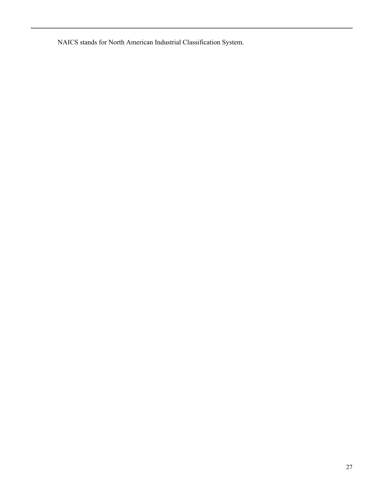NAICS stands for North American Industrial Classification System.